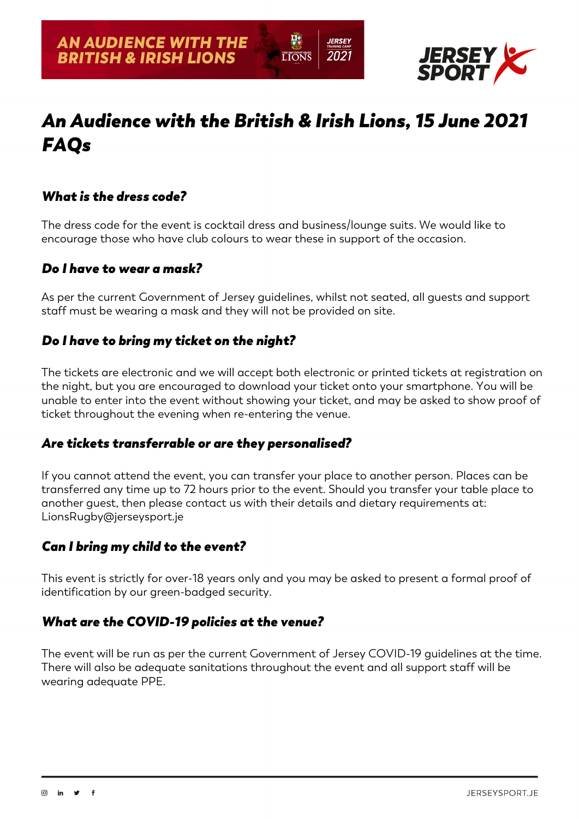

# *An Audience with the British & Irish Lions, 15 June 2021 FAQs*

**LIONS** 

*IERSEY* 

2021

# *What is the dress code?*

The dress code for the event is cocktail dress and business/lounge suits. We would like to encourage those who have club colours to wear these in support of the occasion.

#### *Do I have to wear a mask?*

As per the current Government of Jersey guidelines, whilst not seated, all guests and support staff must be wearing a mask and they will not be provided on site.

# *Do I have to bring my ticket on the night?*

The tickets are electronic and we will accept both electronic or printed tickets at registration on the night, but you are encouraged to download your ticket onto your smartphone. You will be unable to enter into the event without showing your ticket, and may be asked to show proof of ticket throughout the evening when re-entering the venue.

#### *Are tickets transferrable or are they personalised?*

If you cannot attend the event, you can transfer your place to another person. Places can be transferred any time up to 72 hours prior to the event. Should you transfer your table place to another guest, then please contact us with their details and dietary requirements at: LionsRugby@jerseysport.je

# *Can I bring my child to the event?*

This event is strictly for over-18 years only and you may be asked to present a formal proof of identification by our green-badged security.

#### *What are the COVID-19 policies at the venue?*

The event will be run as per the current Government of Jersey COVID-19 guidelines at the time. There will also be adequate sanitations throughout the event and all support staff will be wearing adequate PPE.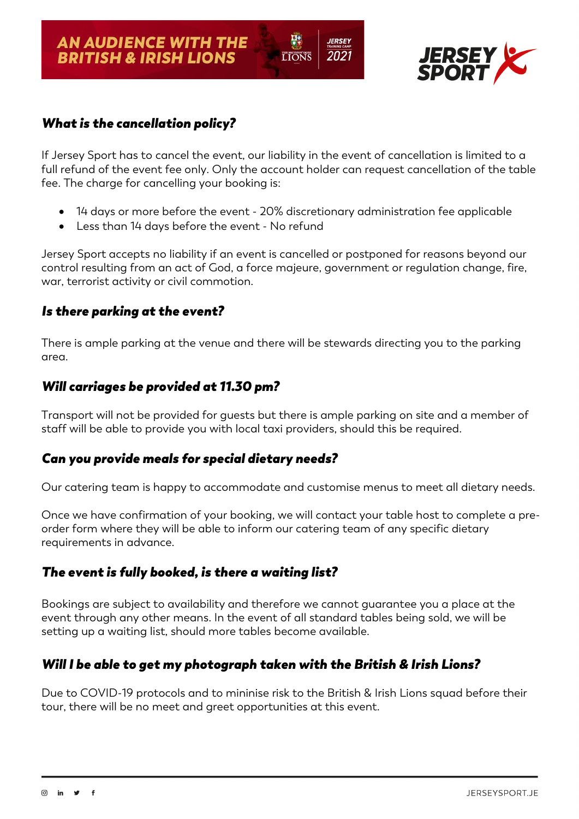

# *What is the cancellation policy?*

If Jersey Sport has to cancel the event, our liability in the event of cancellation is limited to a full refund of the event fee only. Only the account holder can request cancellation of the table fee. The charge for cancelling your booking is:

**LIONS** 

*IERSEY* 

2021

- 14 days or more before the event 20% discretionary administration fee applicable
- Less than 14 days before the event No refund

Jersey Sport accepts no liability if an event is cancelled or postponed for reasons beyond our control resulting from an act of God, a force majeure, government or regulation change, fire, war, terrorist activity or civil commotion.

#### *Is there parking at the event?*

There is ample parking at the venue and there will be stewards directing you to the parking area.

# *Will carriages be provided at 11.30 pm?*

Transport will not be provided for guests but there is ample parking on site and a member of staff will be able to provide you with local taxi providers, should this be required.

# *Can you provide meals for special dietary needs?*

Our catering team is happy to accommodate and customise menus to meet all dietary needs.

Once we have confirmation of your booking, we will contact your table host to complete a preorder form where they will be able to inform our catering team of any specific dietary requirements in advance.

# *The event is fully booked, is there a waiting list?*

Bookings are subject to availability and therefore we cannot guarantee you a place at the event through any other means. In the event of all standard tables being sold, we will be setting up a waiting list, should more tables become available.

# *Will I be able to get my photograph taken with the British & Irish Lions?*

Due to COVID-19 protocols and to mininise risk to the British & Irish Lions squad before their tour, there will be no meet and greet opportunities at this event.